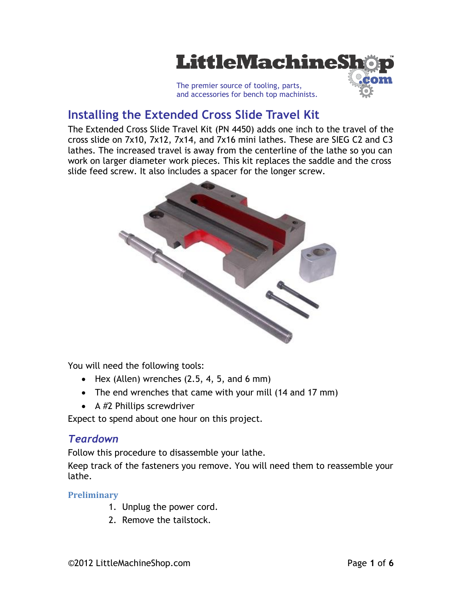

# **Installing the Extended Cross Slide Travel Kit**

The Extended Cross Slide Travel Kit (PN 4450) adds one inch to the travel of the cross slide on 7x10, 7x12, 7x14, and 7x16 mini lathes. These are SIEG C2 and C3 lathes. The increased travel is away from the centerline of the lathe so you can work on larger diameter work pieces. This kit replaces the saddle and the cross slide feed screw. It also includes a spacer for the longer screw.



You will need the following tools:

- $\bullet$  Hex (Allen) wrenches (2.5, 4, 5, and 6 mm)
- The end wrenches that came with your mill (14 and 17 mm)
- $\bullet$  A #2 Phillips screwdriver

Expect to spend about one hour on this project.

### *Teardown*

Follow this procedure to disassemble your lathe.

Keep track of the fasteners you remove. You will need them to reassemble your lathe.

#### **Preliminary**

- 1. Unplug the power cord.
- 2. Remove the tailstock.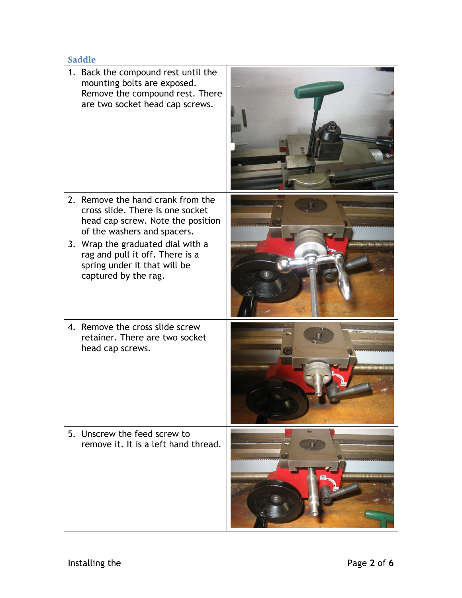## **Saddle**

|    | 1. Back the compound rest until the<br>mounting bolts are exposed.<br>Remove the compound rest. There<br>are two socket head cap screws.  |                |
|----|-------------------------------------------------------------------------------------------------------------------------------------------|----------------|
|    | 2. Remove the hand crank from the<br>cross slide. There is one socket<br>head cap screw. Note the position<br>of the washers and spacers. |                |
|    | 3. Wrap the graduated dial with a<br>rag and pull it off. There is a<br>spring under it that will be<br>captured by the rag.              | 20202002020020 |
|    | 4. Remove the cross slide screw<br>retainer. There are two socket<br>head cap screws.                                                     |                |
| 5. | Unscrew the feed screw to<br>remove it. It is a left hand thread.                                                                         |                |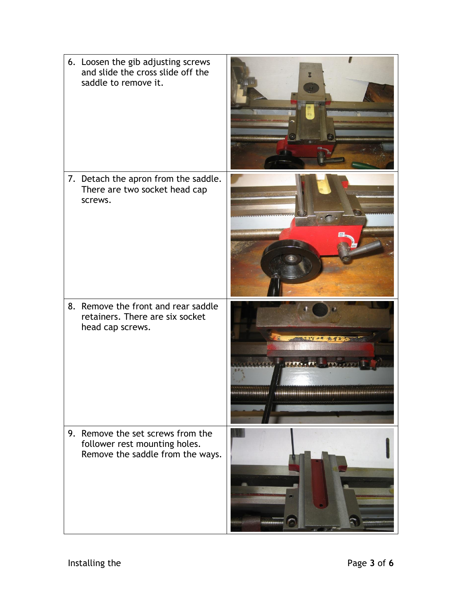| 6. Loosen the gib adjusting screws<br>and slide the cross slide off the<br>saddle to remove it.        |                                                               |
|--------------------------------------------------------------------------------------------------------|---------------------------------------------------------------|
| 7. Detach the apron from the saddle.<br>There are two socket head cap<br>screws.                       |                                                               |
| 8. Remove the front and rear saddle<br>retainers. There are six socket<br>head cap screws.             | <b>CONTACT PATTS</b>                                          |
| 9. Remove the set screws from the<br>follower rest mounting holes.<br>Remove the saddle from the ways. | **********************<br>manu.<br>,,,,,,,,,,,,,,,,,,,,,,,,,, |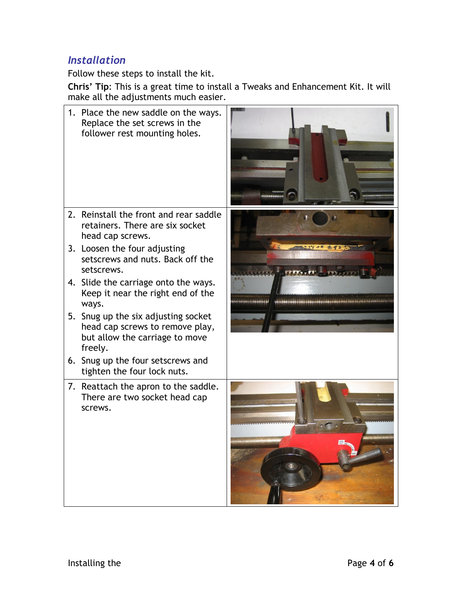# *Installation*

Follow these steps to install the kit.

**Chris' Tip**: This is a great time to install a Tweaks and Enhancement Kit. It will make all the adjustments much easier.

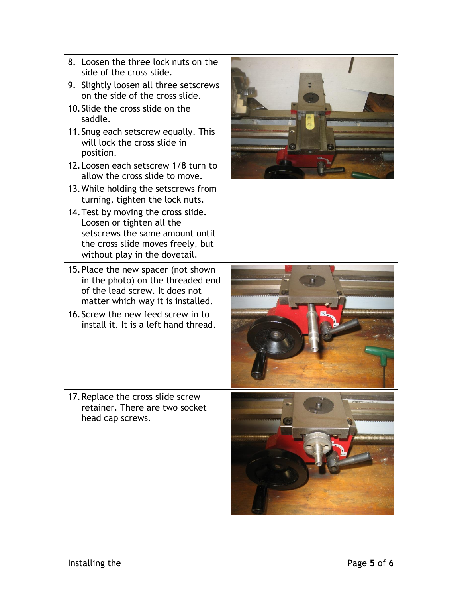- 8. Loosen the three lock nuts on the side of the cross slide.
- 9. Slightly loosen all three setscrews on the side of the cross slide.
- 10.Slide the cross slide on the saddle.
- 11.Snug each setscrew equally. This will lock the cross slide in position.
- 12.Loosen each setscrew 1/8 turn to allow the cross slide to move.
- 13.While holding the setscrews from turning, tighten the lock nuts.
- 14.Test by moving the cross slide. Loosen or tighten all the setscrews the same amount until the cross slide moves freely, but without play in the dovetail.
- 15.Place the new spacer (not shown in the photo) on the threaded end of the lead screw. It does not matter which way it is installed.
- 16.Screw the new feed screw in to install it. It is a left hand thread.

17.Replace the cross slide screw retainer. There are two socket head cap screws.